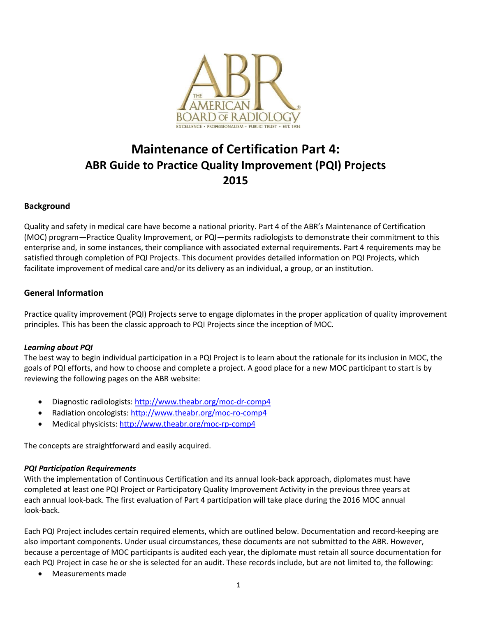

# **Maintenance of Certification Part 4: ABR Guide to Practice Quality Improvement (PQI) Projects 2015**

## **Background**

Quality and safety in medical care have become a national priority. Part 4 of the ABR's Maintenance of Certification (MOC) program—Practice Quality Improvement, or PQI—permits radiologists to demonstrate their commitment to this enterprise and, in some instances, their compliance with associated external requirements. Part 4 requirements may be satisfied through completion of PQI Projects. This document provides detailed information on PQI Projects, which facilitate improvement of medical care and/or its delivery as an individual, a group, or an institution.

## **General Information**

Practice quality improvement (PQI) Projects serve to engage diplomates in the proper application of quality improvement principles. This has been the classic approach to PQI Projects since the inception of MOC.

#### *Learning about PQI*

The best way to begin individual participation in a PQI Project is to learn about the rationale for its inclusion in MOC, the goals of PQI efforts, and how to choose and complete a project. A good place for a new MOC participant to start is by reviewing the following pages on the ABR website:

- Diagnostic radiologists:<http://www.theabr.org/moc-dr-comp4>
- Radiation oncologists:<http://www.theabr.org/moc-ro-comp4>
- Medical physicists:<http://www.theabr.org/moc-rp-comp4>

The concepts are straightforward and easily acquired.

#### *PQI Participation Requirements*

With the implementation of Continuous Certification and its annual look-back approach, diplomates must have completed at least one PQI Project or Participatory Quality Improvement Activity in the previous three years at each annual look-back. The first evaluation of Part 4 participation will take place during the 2016 MOC annual look-back.

Each PQI Project includes certain required elements, which are outlined below. Documentation and record-keeping are also important components. Under usual circumstances, these documents are not submitted to the ABR. However, because a percentage of MOC participants is audited each year, the diplomate must retain all source documentation for each PQI Project in case he or she is selected for an audit. These records include, but are not limited to, the following:

Measurements made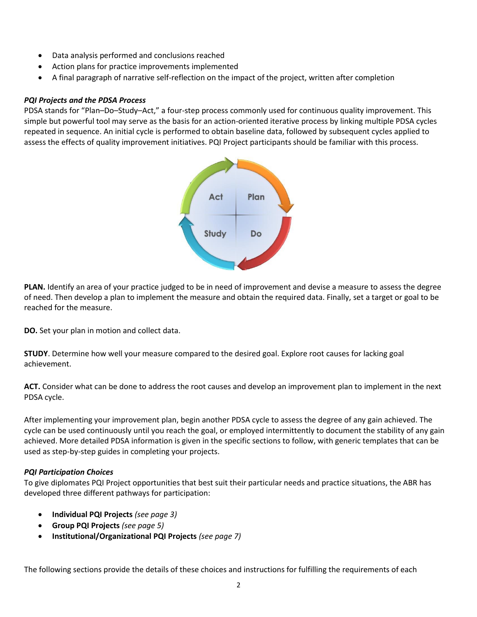- Data analysis performed and conclusions reached
- Action plans for practice improvements implemented
- A final paragraph of narrative self-reflection on the impact of the project, written after completion

# *PQI Projects and the PDSA Process*

PDSA stands for "Plan–Do–Study–Act," a four-step process commonly used for continuous quality improvement. This simple but powerful tool may serve as the basis for an action-oriented iterative process by linking multiple PDSA cycles repeated in sequence. An initial cycle is performed to obtain baseline data, followed by subsequent cycles applied to assess the effects of quality improvement initiatives. PQI Project participants should be familiar with this process.



**PLAN.** Identify an area of your practice judged to be in need of improvement and devise a measure to assess the degree of need. Then develop a plan to implement the measure and obtain the required data. Finally, set a target or goal to be reached for the measure.

**DO.** Set your plan in motion and collect data.

**STUDY**. Determine how well your measure compared to the desired goal. Explore root causes for lacking goal achievement.

**ACT.** Consider what can be done to address the root causes and develop an improvement plan to implement in the next PDSA cycle.

After implementing your improvement plan, begin another PDSA cycle to assess the degree of any gain achieved. The cycle can be used continuously until you reach the goal, or employed intermittently to document the stability of any gain achieved. More detailed PDSA information is given in the specific sections to follow, with generic templates that can be used as step-by-step guides in completing your projects.

# *PQI Participation Choices*

To give diplomates PQI Project opportunities that best suit their particular needs and practice situations, the ABR has developed three different pathways for participation:

- **Individual PQI Projects** *(see page 3)*
- **Group PQI Projects** *(see page 5)*
- **Institutional/Organizational PQI Projects** *(see page 7)*

The following sections provide the details of these choices and instructions for fulfilling the requirements of each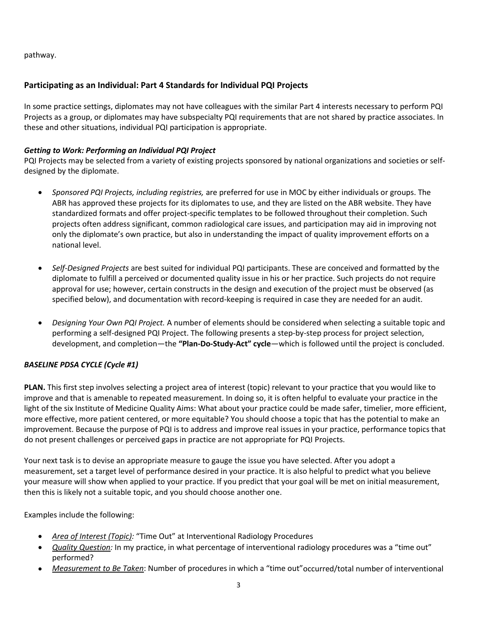pathway.

# **Participating as an Individual: Part 4 Standards for Individual PQI Projects**

In some practice settings, diplomates may not have colleagues with the similar Part 4 interests necessary to perform PQI Projects as a group, or diplomates may have subspecialty PQI requirements that are not shared by practice associates. In these and other situations, individual PQI participation is appropriate.

## *Getting to Work: Performing an Individual PQI Project*

PQI Projects may be selected from a variety of existing projects sponsored by national organizations and societies or selfdesigned by the diplomate.

- *Sponsored PQI Projects, including registries,* are preferred for use in MOC by either individuals or groups. The ABR has approved these projects for its diplomates to use, and they are listed on the ABR website. They have standardized formats and offer project-specific templates to be followed throughout their completion. Such projects often address significant, common radiological care issues, and participation may aid in improving not only the diplomate's own practice, but also in understanding the impact of quality improvement efforts on a national level.
- *Self-Designed Projects* are best suited for individual PQI participants. These are conceived and formatted by the diplomate to fulfill a perceived or documented quality issue in his or her practice. Such projects do not require approval for use; however, certain constructs in the design and execution of the project must be observed (as specified below), and documentation with record-keeping is required in case they are needed for an audit.
- *Designing Your Own PQI Project.* A number of elements should be considered when selecting a suitable topic and performing a self-designed PQI Project. The following presents a step-by-step process for project selection, development, and completion—the **"Plan-Do-Study-Act" cycle**—which is followed until the project is concluded.

# *BASELINE PDSA CYCLE (Cycle #1)*

**PLAN.** This first step involves selecting a project area of interest (topic) relevant to your practice that you would like to improve and that is amenable to repeated measurement. In doing so, it is often helpful to evaluate your practice in the light of the six Institute of Medicine Quality Aims: What about your practice could be made safer, timelier, more efficient, more effective, more patient centered, or more equitable? You should choose a topic that has the potential to make an improvement. Because the purpose of PQI is to address and improve real issues in your practice, performance topics that do not present challenges or perceived gaps in practice are not appropriate for PQI Projects.

Your next task is to devise an appropriate measure to gauge the issue you have selected. After you adopt a measurement, set a target level of performance desired in your practice. It is also helpful to predict what you believe your measure will show when applied to your practice. If you predict that your goal will be met on initial measurement, then this is likely not a suitable topic, and you should choose another one.

## Examples include the following:

- *Area of Interest (Topic):* "Time Out" at Interventional Radiology Procedures
- *Quality Question:* In my practice, in what percentage of interventional radiology procedures was a "time out" performed?
- *Measurement to Be Taken*: Number of procedures in which a "time out"occurred/total number of interventional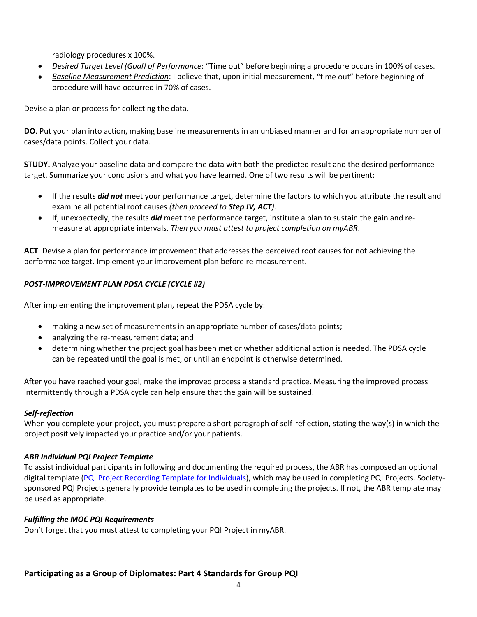radiology procedures x 100%.

- *Desired Target Level (Goal) of Performance*: "Time out" before beginning a procedure occurs in 100% of cases.
- *Baseline Measurement Prediction*: I believe that, upon initial measurement, "time out" before beginning of procedure will have occurred in 70% of cases.

Devise a plan or process for collecting the data.

**DO**. Put your plan into action, making baseline measurements in an unbiased manner and for an appropriate number of cases/data points. Collect your data.

**STUDY.** Analyze your baseline data and compare the data with both the predicted result and the desired performance target. Summarize your conclusions and what you have learned. One of two results will be pertinent:

- If the results *did not* meet your performance target, determine the factors to which you attribute the result and examine all potential root causes *(then proceed to Step IV, ACT).*
- If, unexpectedly, the results *did* meet the performance target, institute a plan to sustain the gain and remeasure at appropriate intervals. *Then you must attest to project completion on myABR*.

**ACT**. Devise a plan for performance improvement that addresses the perceived root causes for not achieving the performance target. Implement your improvement plan before re-measurement.

# *POST-IMPROVEMENT PLAN PDSA CYCLE (CYCLE #2)*

After implementing the improvement plan, repeat the PDSA cycle by:

- making a new set of measurements in an appropriate number of cases/data points;
- analyzing the re-measurement data; and
- determining whether the project goal has been met or whether additional action is needed. The PDSA cycle can be repeated until the goal is met, or until an endpoint is otherwise determined.

After you have reached your goal, make the improved process a standard practice. Measuring the improved process intermittently through a PDSA cycle can help ensure that the gain will be sustained.

# *Self-reflection*

When you complete your project, you must prepare a short paragraph of self-reflection, stating the way(s) in which the project positively impacted your practice and/or your patients.

## *ABR Individual PQI Project Template*

To assist individual participants in following and documenting the required process, the ABR has composed an optional digital template [\(PQI Project Recording Template for Individuals\), w](http://www.theabr.org/sites/all/themes/abr-media/doc/PQI_Recording_Template_Individual.doc)hich may be used in completing PQI Projects. Societysponsored PQI Projects generally provide templates to be used in completing the projects. If not, the ABR template may be used as appropriate.

## *Fulfilling the MOC PQI Requirements*

Don't forget that you must attest to completing your PQI Project in myABR.

# **Participating as a Group of Diplomates: Part 4 Standards for Group PQI**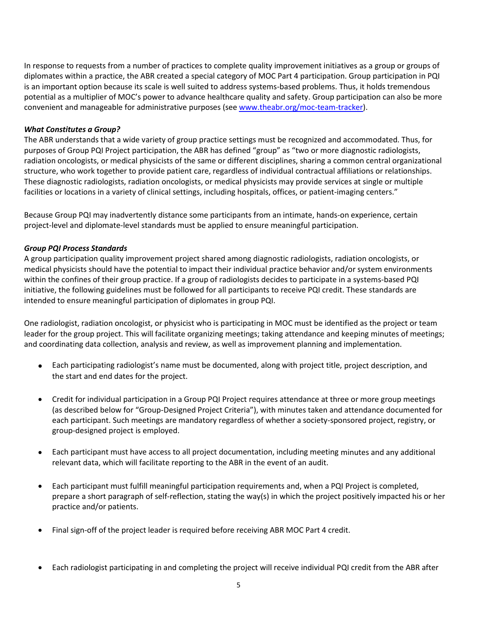In response to requests from a number of practices to complete quality improvement initiatives as a group or groups of diplomates within a practice, the ABR created a special category of MOC Part 4 participation. Group participation in PQI is an important option because its scale is well suited to address systems-based problems. Thus, it holds tremendous potential as a multiplier of MOC's power to advance healthcare quality and safety. Group participation can also be more convenient and manageable for administrative purposes (see [www.theabr.org/moc-team-tracker\)](http://www.theabr.org/moc-team-tracker).

#### *What Constitutes a Group?*

The ABR understands that a wide variety of group practice settings must be recognized and accommodated. Thus, for purposes of Group PQI Project participation, the ABR has defined "group" as "two or more diagnostic radiologists, radiation oncologists, or medical physicists of the same or different disciplines, sharing a common central organizational structure, who work together to provide patient care, regardless of individual contractual affiliations or relationships. These diagnostic radiologists, radiation oncologists, or medical physicists may provide services at single or multiple facilities or locations in a variety of clinical settings, including hospitals, offices, or patient-imaging centers."

Because Group PQI may inadvertently distance some participants from an intimate, hands-on experience, certain project-level and diplomate-level standards must be applied to ensure meaningful participation.

## *Group PQI Process Standards*

A group participation quality improvement project shared among diagnostic radiologists, radiation oncologists, or medical physicists should have the potential to impact their individual practice behavior and/or system environments within the confines of their group practice. If a group of radiologists decides to participate in a systems-based PQI initiative, the following guidelines must be followed for all participants to receive PQI credit. These standards are intended to ensure meaningful participation of diplomates in group PQI.

One radiologist, radiation oncologist, or physicist who is participating in MOC must be identified as the project or team leader for the group project. This will facilitate organizing meetings; taking attendance and keeping minutes of meetings; and coordinating data collection, analysis and review, as well as improvement planning and implementation.

- Each participating radiologist's name must be documented, along with project title, project description, and the start and end dates for the project.
- Credit for individual participation in a Group PQI Project requires attendance at three or more group meetings (as described below for "Group-Designed Project Criteria"), with minutes taken and attendance documented for each participant. Such meetings are mandatory regardless of whether a society-sponsored project, registry, or group-designed project is employed.
- Each participant must have access to all project documentation, including meeting minutes and any additional relevant data, which will facilitate reporting to the ABR in the event of an audit.
- Each participant must fulfill meaningful participation requirements and, when a PQI Project is completed, prepare a short paragraph of self-reflection, stating the way(s) in which the project positively impacted his or her practice and/or patients.
- Final sign-off of the project leader is required before receiving ABR MOC Part 4 credit.
- Each radiologist participating in and completing the project will receive individual PQI credit from the ABR after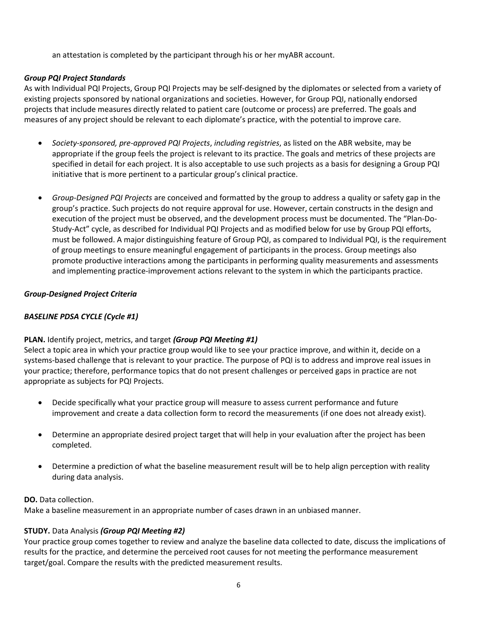an attestation is completed by the participant through his or her myABR account.

## *Group PQI Project Standards*

As with Individual PQI Projects, Group PQI Projects may be self-designed by the diplomates or selected from a variety of existing projects sponsored by national organizations and societies. However, for Group PQI, nationally endorsed projects that include measures directly related to patient care (outcome or process) are preferred. The goals and measures of any project should be relevant to each diplomate's practice, with the potential to improve care.

- *Society-sponsored, pre-approved PQI Projects*, *including registries*, as listed on the ABR website, may be appropriate if the group feels the project is relevant to its practice. The goals and metrics of these projects are specified in detail for each project. It is also acceptable to use such projects as a basis for designing a Group PQI initiative that is more pertinent to a particular group's clinical practice.
- *Group-Designed PQI Projects* are conceived and formatted by the group to address a quality or safety gap in the group's practice. Such projects do not require approval for use. However, certain constructs in the design and execution of the project must be observed, and the development process must be documented. The "Plan-Do-Study-Act" cycle, as described for Individual PQI Projects and as modified below for use by Group PQI efforts, must be followed. A major distinguishing feature of Group PQI, as compared to Individual PQI, is the requirement of group meetings to ensure meaningful engagement of participants in the process. Group meetings also promote productive interactions among the participants in performing quality measurements and assessments and implementing practice-improvement actions relevant to the system in which the participants practice.

## *Group-Designed Project Criteria*

## *BASELINE PDSA CYCLE (Cycle #1)*

#### **PLAN.** Identify project, metrics, and target *(Group PQI Meeting #1)*

Select a topic area in which your practice group would like to see your practice improve, and within it, decide on a systems-based challenge that is relevant to your practice. The purpose of PQI is to address and improve real issues in your practice; therefore, performance topics that do not present challenges or perceived gaps in practice are not appropriate as subjects for PQI Projects.

- Decide specifically what your practice group will measure to assess current performance and future improvement and create a data collection form to record the measurements (if one does not already exist).
- Determine an appropriate desired project target that will help in your evaluation after the project has been completed.
- Determine a prediction of what the baseline measurement result will be to help align perception with reality during data analysis.

#### **DO.** Data collection.

Make a baseline measurement in an appropriate number of cases drawn in an unbiased manner.

#### **STUDY.** Data Analysis *(Group PQI Meeting #2)*

Your practice group comes together to review and analyze the baseline data collected to date, discuss the implications of results for the practice, and determine the perceived root causes for not meeting the performance measurement target/goal. Compare the results with the predicted measurement results.